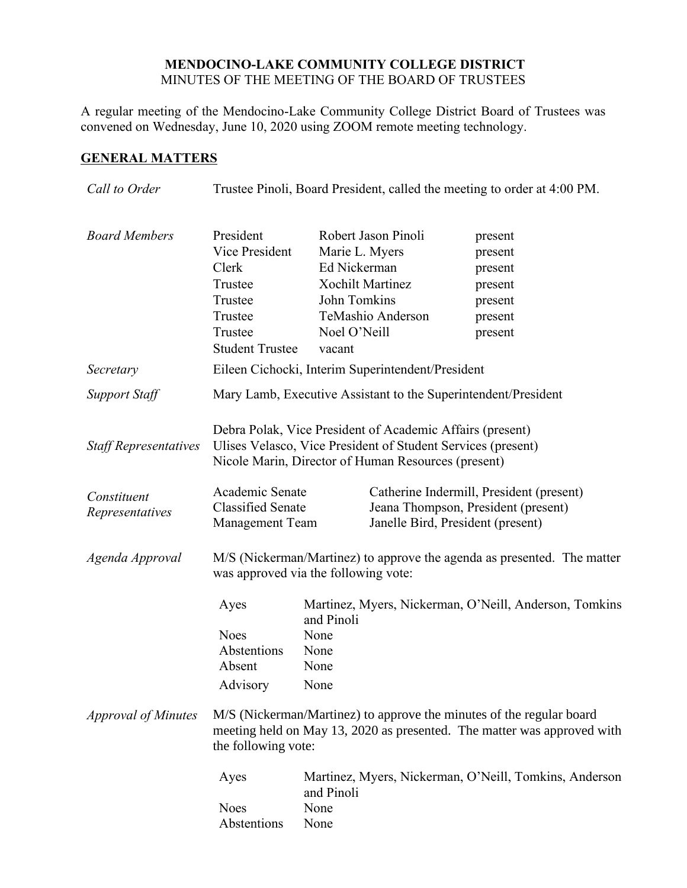## **MENDOCINO-LAKE COMMUNITY COLLEGE DISTRICT** MINUTES OF THE MEETING OF THE BOARD OF TRUSTEES

A regular meeting of the Mendocino-Lake Community College District Board of Trustees was convened on Wednesday, June 10, 2020 using ZOOM remote meeting technology.

# **GENERAL MATTERS**

| Call to Order                  | Trustee Pinoli, Board President, called the meeting to order at 4:00 PM.                                                                                                         |                                                                          |                                                                     |                                                                                                                                                                                                                                                                     |
|--------------------------------|----------------------------------------------------------------------------------------------------------------------------------------------------------------------------------|--------------------------------------------------------------------------|---------------------------------------------------------------------|---------------------------------------------------------------------------------------------------------------------------------------------------------------------------------------------------------------------------------------------------------------------|
| <b>Board Members</b>           | President<br>Vice President<br>Clerk<br>Trustee<br>Trustee<br>Trustee<br>Trustee<br><b>Student Trustee</b>                                                                       | Marie L. Myers<br>Ed Nickerman<br>John Tomkins<br>Noel O'Neill<br>vacant | Robert Jason Pinoli<br><b>Xochilt Martinez</b><br>TeMashio Anderson | present<br>present<br>present<br>present<br>present<br>present<br>present                                                                                                                                                                                           |
| Secretary                      |                                                                                                                                                                                  |                                                                          | Eileen Cichocki, Interim Superintendent/President                   |                                                                                                                                                                                                                                                                     |
| <b>Support Staff</b>           | Mary Lamb, Executive Assistant to the Superintendent/President                                                                                                                   |                                                                          |                                                                     |                                                                                                                                                                                                                                                                     |
| <b>Staff Representatives</b>   | Debra Polak, Vice President of Academic Affairs (present)<br>Ulises Velasco, Vice President of Student Services (present)<br>Nicole Marin, Director of Human Resources (present) |                                                                          |                                                                     |                                                                                                                                                                                                                                                                     |
| Constituent<br>Representatives | Academic Senate<br><b>Classified Senate</b><br>Management Team                                                                                                                   |                                                                          |                                                                     | Catherine Indermill, President (present)<br>Jeana Thompson, President (present)<br>Janelle Bird, President (present)                                                                                                                                                |
| Agenda Approval                | M/S (Nickerman/Martinez) to approve the agenda as presented. The matter<br>was approved via the following vote:                                                                  |                                                                          |                                                                     |                                                                                                                                                                                                                                                                     |
| <b>Approval of Minutes</b>     | Ayes<br><b>Noes</b><br>Abstentions<br>Absent<br>Advisory<br>the following vote:<br>Ayes<br><b>Noes</b><br>Abstentions                                                            | and Pinoli<br>None<br>None<br>None<br>None<br>and Pinoli<br>None<br>None |                                                                     | Martinez, Myers, Nickerman, O'Neill, Anderson, Tomkins<br>M/S (Nickerman/Martinez) to approve the minutes of the regular board<br>meeting held on May 13, 2020 as presented. The matter was approved with<br>Martinez, Myers, Nickerman, O'Neill, Tomkins, Anderson |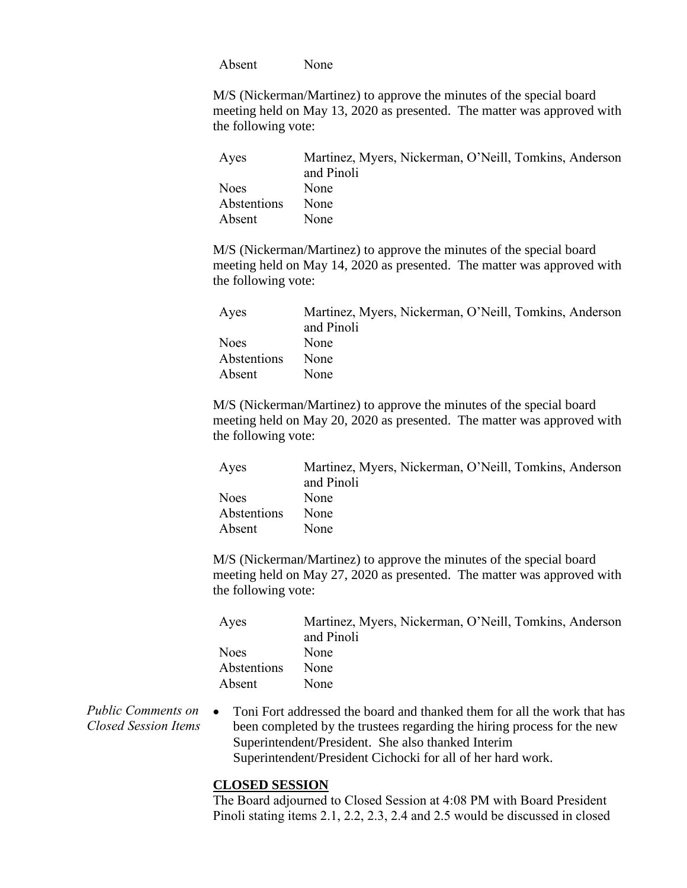Absent None

M/S (Nickerman/Martinez) to approve the minutes of the special board meeting held on May 13, 2020 as presented. The matter was approved with the following vote:

| Ayes        | Martinez, Myers, Nickerman, O'Neill, Tomkins, Anderson |
|-------------|--------------------------------------------------------|
|             | and Pinoli                                             |
| <b>Noes</b> | None                                                   |
| Abstentions | None                                                   |
| Absent      | None                                                   |

M/S (Nickerman/Martinez) to approve the minutes of the special board meeting held on May 14, 2020 as presented. The matter was approved with the following vote:

| Ayes        | Martinez, Myers, Nickerman, O'Neill, Tomkins, Anderson |
|-------------|--------------------------------------------------------|
|             | and Pinoli                                             |
| <b>Noes</b> | None                                                   |
| Abstentions | <b>None</b>                                            |
| Absent      | None                                                   |

M/S (Nickerman/Martinez) to approve the minutes of the special board meeting held on May 20, 2020 as presented. The matter was approved with the following vote:

| Ayes        | Martinez, Myers, Nickerman, O'Neill, Tomkins, Anderson |
|-------------|--------------------------------------------------------|
|             | and Pinoli                                             |
| <b>Noes</b> | None                                                   |
| Abstentions | None                                                   |
| Absent      | <b>None</b>                                            |

M/S (Nickerman/Martinez) to approve the minutes of the special board meeting held on May 27, 2020 as presented. The matter was approved with the following vote:

| Ayes        | Martinez, Myers, Nickerman, O'Neill, Tomkins, Anderson |
|-------------|--------------------------------------------------------|
|             | and Pinoli                                             |
| <b>Noes</b> | None                                                   |
| Abstentions | None                                                   |
| Absent      | None                                                   |

*Public Comments on Closed Session Items* Toni Fort addressed the board and thanked them for all the work that has been completed by the trustees regarding the hiring process for the new Superintendent/President. She also thanked Interim Superintendent/President Cichocki for all of her hard work.

## **CLOSED SESSION**

The Board adjourned to Closed Session at 4:08 PM with Board President Pinoli stating items 2.1, 2.2, 2.3, 2.4 and 2.5 would be discussed in closed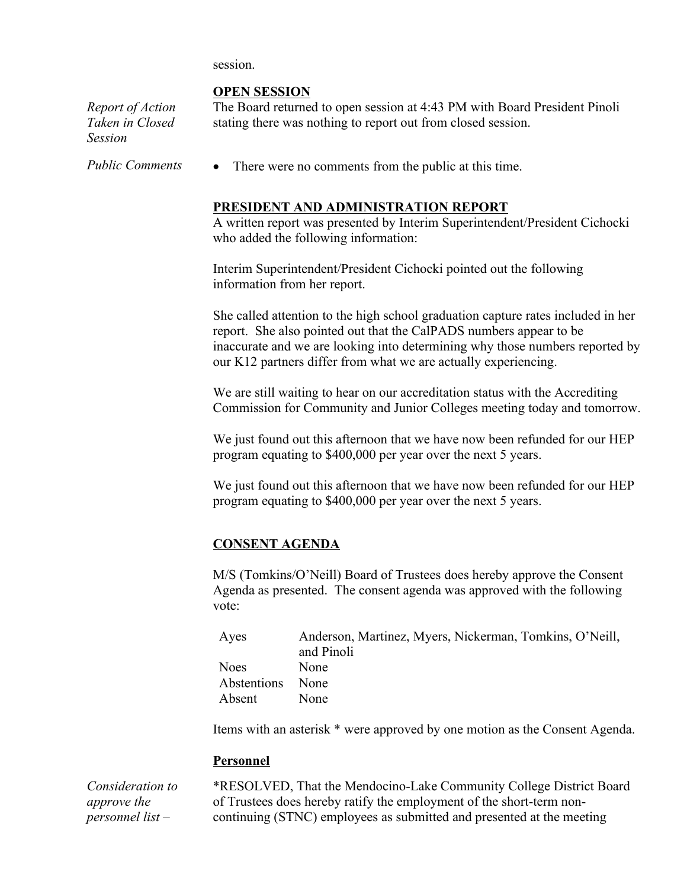session.

## **OPEN SESSION**

*Report of Action Taken in Closed Session*

The Board returned to open session at 4:43 PM with Board President Pinoli stating there was nothing to report out from closed session.

*Public Comments* • There were no comments from the public at this time.

## **PRESIDENT AND ADMINISTRATION REPORT**

A written report was presented by Interim Superintendent/President Cichocki who added the following information:

Interim Superintendent/President Cichocki pointed out the following information from her report.

She called attention to the high school graduation capture rates included in her report. She also pointed out that the CalPADS numbers appear to be inaccurate and we are looking into determining why those numbers reported by our K12 partners differ from what we are actually experiencing.

We are still waiting to hear on our accreditation status with the Accrediting Commission for Community and Junior Colleges meeting today and tomorrow.

We just found out this afternoon that we have now been refunded for our HEP program equating to \$400,000 per year over the next 5 years.

We just found out this afternoon that we have now been refunded for our HEP program equating to \$400,000 per year over the next 5 years.

## **CONSENT AGENDA**

M/S (Tomkins/O'Neill) Board of Trustees does hereby approve the Consent Agenda as presented. The consent agenda was approved with the following vote:

| Ayes        | Anderson, Martinez, Myers, Nickerman, Tomkins, O'Neill, |
|-------------|---------------------------------------------------------|
|             | and Pinoli                                              |
| Noes.       | None                                                    |
| Abstentions | None                                                    |
| Absent      | None                                                    |

Items with an asterisk \* were approved by one motion as the Consent Agenda.

#### **Personnel**

*Consideration to approve the personnel list –*

\*RESOLVED, That the Mendocino-Lake Community College District Board of Trustees does hereby ratify the employment of the short-term noncontinuing (STNC) employees as submitted and presented at the meeting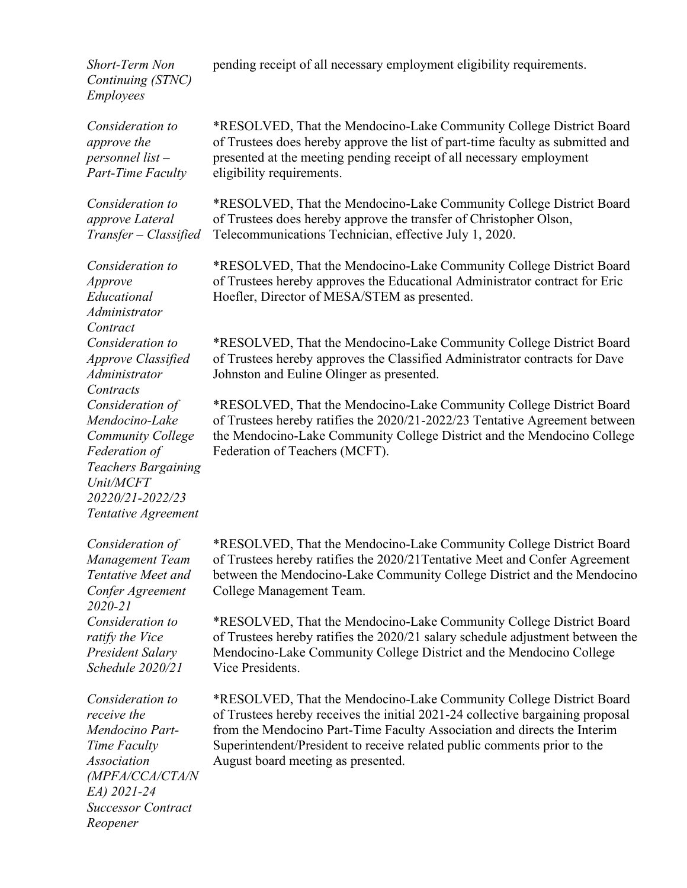*Short-Term Non Continuing (STNC) Employees*

*Consideration to approve the personnel list – Part-Time Faculty*

*Consideration to approve Lateral Transfer – Classified*

*Consideration to Approve Educational Administrator Contract Consideration to Approve Classified Administrator Contracts Consideration of Mendocino-Lake Community College Federation of Teachers Bargaining Unit/MCFT 20220/21-2022/23 Tentative Agreement* 

*Consideration of Management Team Tentative Meet and Confer Agreement 2020-21 Consideration to ratify the Vice President Salary Schedule 2020/21*

*Consideration to receive the Mendocino Part-Time Faculty Association (MPFA/CCA/CTA/N EA) 2021-24 Successor Contract Reopener*

pending receipt of all necessary employment eligibility requirements.

\*RESOLVED, That the Mendocino-Lake Community College District Board of Trustees does hereby approve the list of part-time faculty as submitted and presented at the meeting pending receipt of all necessary employment eligibility requirements.

\*RESOLVED, That the Mendocino-Lake Community College District Board of Trustees does hereby approve the transfer of Christopher Olson, Telecommunications Technician, effective July 1, 2020.

\*RESOLVED, That the Mendocino-Lake Community College District Board of Trustees hereby approves the Educational Administrator contract for Eric Hoefler, Director of MESA/STEM as presented.

\*RESOLVED, That the Mendocino-Lake Community College District Board of Trustees hereby approves the Classified Administrator contracts for Dave Johnston and Euline Olinger as presented.

\*RESOLVED, That the Mendocino-Lake Community College District Board of Trustees hereby ratifies the 2020/21-2022/23 Tentative Agreement between the Mendocino-Lake Community College District and the Mendocino College Federation of Teachers (MCFT).

\*RESOLVED, That the Mendocino-Lake Community College District Board of Trustees hereby ratifies the 2020/21Tentative Meet and Confer Agreement between the Mendocino-Lake Community College District and the Mendocino College Management Team.

\*RESOLVED, That the Mendocino-Lake Community College District Board of Trustees hereby ratifies the 2020/21 salary schedule adjustment between the Mendocino-Lake Community College District and the Mendocino College Vice Presidents.

\*RESOLVED, That the Mendocino-Lake Community College District Board of Trustees hereby receives the initial 2021-24 collective bargaining proposal from the Mendocino Part-Time Faculty Association and directs the Interim Superintendent/President to receive related public comments prior to the August board meeting as presented.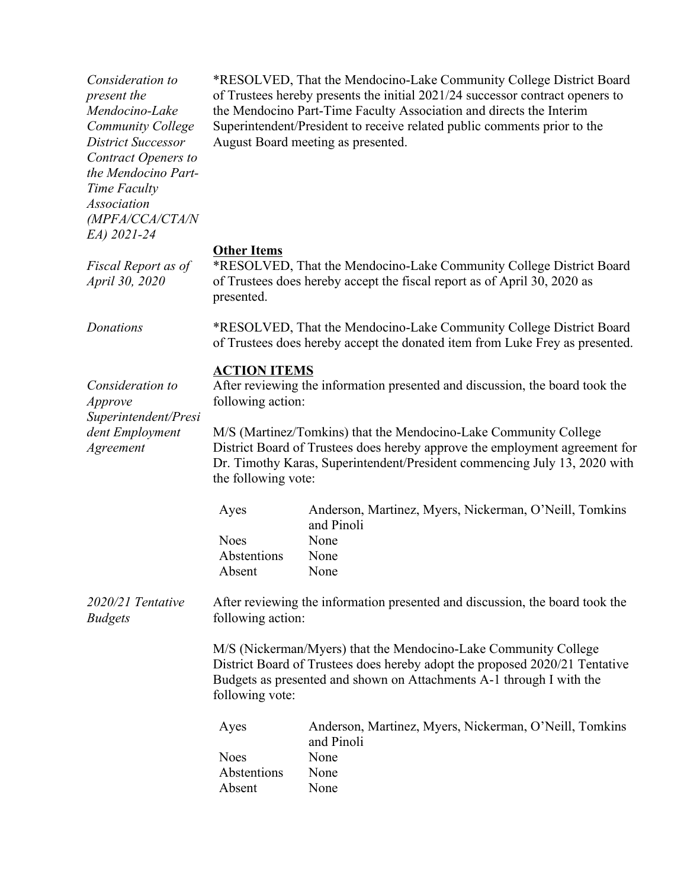*Consideration to present the Mendocino-Lake Community College District Successor Contract Openers to the Mendocino Part-Time Faculty Association (MPFA/CCA/CTA/N EA) 2021-24* \*RESOLVED, That the Mendocino-Lake Community College District Board of Trustees hereby presents the initial 2021/24 successor contract openers to the Mendocino Part-Time Faculty Association and directs the Interim Superintendent/President to receive related public comments prior to the August Board meeting as presented. **Other Items** *Fiscal Report as of April 30, 2020*  \*RESOLVED, That the Mendocino-Lake Community College District Board of Trustees does hereby accept the fiscal report as of April 30, 2020 as presented. *Donations* \*RESOLVED, That the Mendocino-Lake Community College District Board of Trustees does hereby accept the donated item from Luke Frey as presented. **ACTION ITEMS** *Consideration to Approve Superintendent/Presi dent Employment Agreement* After reviewing the information presented and discussion, the board took the following action: M/S (Martinez/Tomkins) that the Mendocino-Lake Community College District Board of Trustees does hereby approve the employment agreement for Dr. Timothy Karas, Superintendent/President commencing July 13, 2020 with the following vote: Ayes Anderson, Martinez, Myers, Nickerman, O'Neill, Tomkins and Pinoli Noes None Abstentions None Absent None *2020/21 Tentative Budgets* After reviewing the information presented and discussion, the board took the following action: M/S (Nickerman/Myers) that the Mendocino-Lake Community College District Board of Trustees does hereby adopt the proposed 2020/21 Tentative Budgets as presented and shown on Attachments A-1 through I with the following vote: Ayes Anderson, Martinez, Myers, Nickerman, O'Neill, Tomkins and Pinoli Noes None Abstentions None Absent None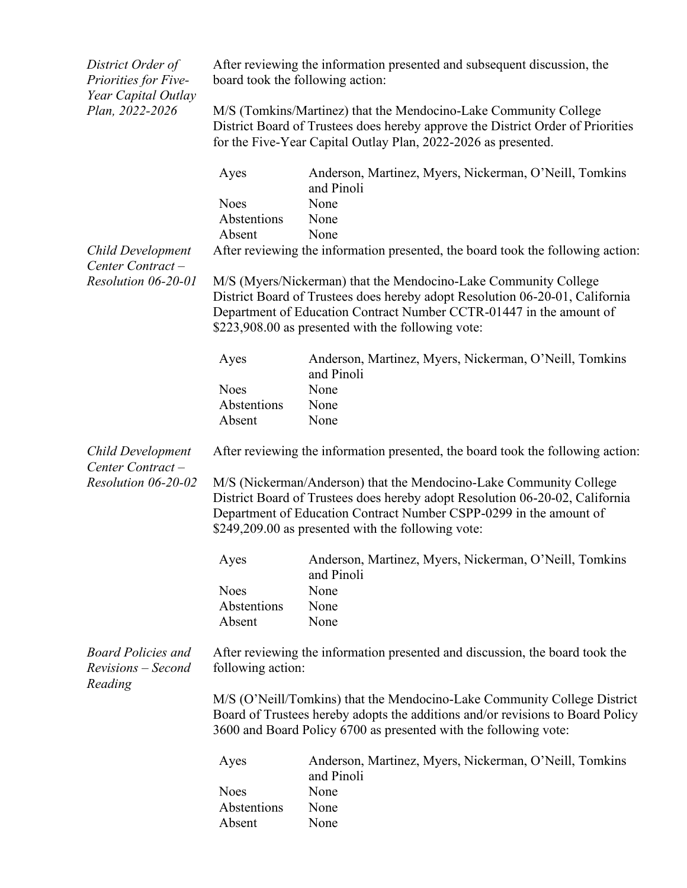| District Order of<br>Priorities for Five-<br>Year Capital Outlay<br>Plan, 2022-2026 | After reviewing the information presented and subsequent discussion, the<br>board took the following action:                                       |                                                                                                                                                                                                                                                                                |  |
|-------------------------------------------------------------------------------------|----------------------------------------------------------------------------------------------------------------------------------------------------|--------------------------------------------------------------------------------------------------------------------------------------------------------------------------------------------------------------------------------------------------------------------------------|--|
|                                                                                     |                                                                                                                                                    | M/S (Tomkins/Martinez) that the Mendocino-Lake Community College<br>District Board of Trustees does hereby approve the District Order of Priorities<br>for the Five-Year Capital Outlay Plan, 2022-2026 as presented.                                                          |  |
|                                                                                     | Ayes                                                                                                                                               | Anderson, Martinez, Myers, Nickerman, O'Neill, Tomkins<br>and Pinoli                                                                                                                                                                                                           |  |
|                                                                                     | <b>Noes</b>                                                                                                                                        | None                                                                                                                                                                                                                                                                           |  |
|                                                                                     | Abstentions                                                                                                                                        | None                                                                                                                                                                                                                                                                           |  |
|                                                                                     | Absent                                                                                                                                             | None                                                                                                                                                                                                                                                                           |  |
| <b>Child Development</b><br>Center Contract-                                        |                                                                                                                                                    | After reviewing the information presented, the board took the following action:                                                                                                                                                                                                |  |
| Resolution 06-20-01                                                                 |                                                                                                                                                    | M/S (Myers/Nickerman) that the Mendocino-Lake Community College<br>District Board of Trustees does hereby adopt Resolution 06-20-01, California<br>Department of Education Contract Number CCTR-01447 in the amount of<br>\$223,908.00 as presented with the following vote:   |  |
|                                                                                     | Ayes                                                                                                                                               | Anderson, Martinez, Myers, Nickerman, O'Neill, Tomkins<br>and Pinoli                                                                                                                                                                                                           |  |
|                                                                                     | <b>Noes</b>                                                                                                                                        | None                                                                                                                                                                                                                                                                           |  |
|                                                                                     | Abstentions                                                                                                                                        | None                                                                                                                                                                                                                                                                           |  |
|                                                                                     | Absent                                                                                                                                             | None                                                                                                                                                                                                                                                                           |  |
| <b>Child Development</b><br>Center Contract-                                        | After reviewing the information presented, the board took the following action:                                                                    |                                                                                                                                                                                                                                                                                |  |
| Resolution 06-20-02                                                                 |                                                                                                                                                    | M/S (Nickerman/Anderson) that the Mendocino-Lake Community College<br>District Board of Trustees does hereby adopt Resolution 06-20-02, California<br>Department of Education Contract Number CSPP-0299 in the amount of<br>\$249,209.00 as presented with the following vote: |  |
|                                                                                     | Ayes                                                                                                                                               | Anderson, Martinez, Myers, Nickerman, O'Neill, Tomkins<br>and Pinoli                                                                                                                                                                                                           |  |
|                                                                                     | <b>Noes</b>                                                                                                                                        | None                                                                                                                                                                                                                                                                           |  |
|                                                                                     | Abstentions                                                                                                                                        | None                                                                                                                                                                                                                                                                           |  |
|                                                                                     | Absent                                                                                                                                             | None                                                                                                                                                                                                                                                                           |  |
| <b>Board Policies and</b><br>Revisions - Second<br>Reading                          | following action:                                                                                                                                  | After reviewing the information presented and discussion, the board took the                                                                                                                                                                                                   |  |
|                                                                                     | M/S (O'Neill/Tomkins) that the Mendocino-Lake Community College District                                                                           |                                                                                                                                                                                                                                                                                |  |
|                                                                                     | Board of Trustees hereby adopts the additions and/or revisions to Board Policy<br>3600 and Board Policy 6700 as presented with the following vote: |                                                                                                                                                                                                                                                                                |  |
|                                                                                     | Ayes                                                                                                                                               | Anderson, Martinez, Myers, Nickerman, O'Neill, Tomkins<br>and Pinoli                                                                                                                                                                                                           |  |
|                                                                                     | <b>Noes</b>                                                                                                                                        | None                                                                                                                                                                                                                                                                           |  |
|                                                                                     | Abstentions                                                                                                                                        | None                                                                                                                                                                                                                                                                           |  |
|                                                                                     | Absent                                                                                                                                             | None                                                                                                                                                                                                                                                                           |  |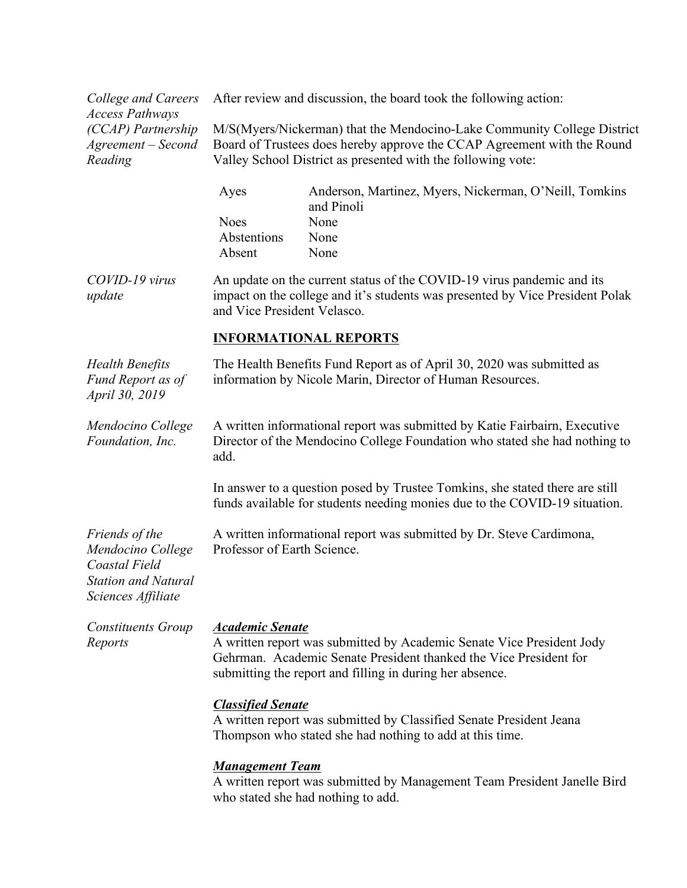*College and Careers Access Pathways (CCAP) Partnership Agreement – Second Reading*

After review and discussion, the board took the following action:

M/S(Myers/Nickerman) that the Mendocino-Lake Community College District Board of Trustees does hereby approve the CCAP Agreement with the Round Valley School District as presented with the following vote:

| Anderson, Martinez, Myers, Nickerman, O'Neill, Tomkins |
|--------------------------------------------------------|
| and Pinoli                                             |
| None                                                   |
| None                                                   |
| <b>None</b>                                            |
|                                                        |

*COVID-19 virus update* An update on the current status of the COVID-19 virus pandemic and its impact on the college and it's students was presented by Vice President Polak and Vice President Velasco.

#### **INFORMATIONAL REPORTS**

| <b>Health Benefits</b><br>Fund Report as of<br><i>April</i> 30, 2019 | The Health Benefits Fund Report as of April 30, 2020 was submitted as<br>information by Nicole Marin, Director of Human Resources.                               |
|----------------------------------------------------------------------|------------------------------------------------------------------------------------------------------------------------------------------------------------------|
| Mendocino College<br>Foundation, Inc.                                | A written informational report was submitted by Katie Fairbairn, Executive<br>Director of the Mendocino College Foundation who stated she had nothing to<br>add. |
|                                                                      | In answer to a question posed by Trustee Tomkins, she stated there are still<br>funds available for students needing monies due to the COVID-19 situation.       |

A written informational report was submitted by Dr. Steve Cardimona, Professor of Earth Science.

*Mendocino College Coastal Field Station and Natural Sciences Affiliate*

*Friends of the* 

*Constituents Group Reports Academic Senate* A written report was submitted by Academic Senate Vice President Jody Gehrman. Academic Senate President thanked the Vice President for submitting the report and filling in during her absence.

## *Classified Senate*

A written report was submitted by Classified Senate President Jeana Thompson who stated she had nothing to add at this time.

## *Management Team*

A written report was submitted by Management Team President Janelle Bird who stated she had nothing to add.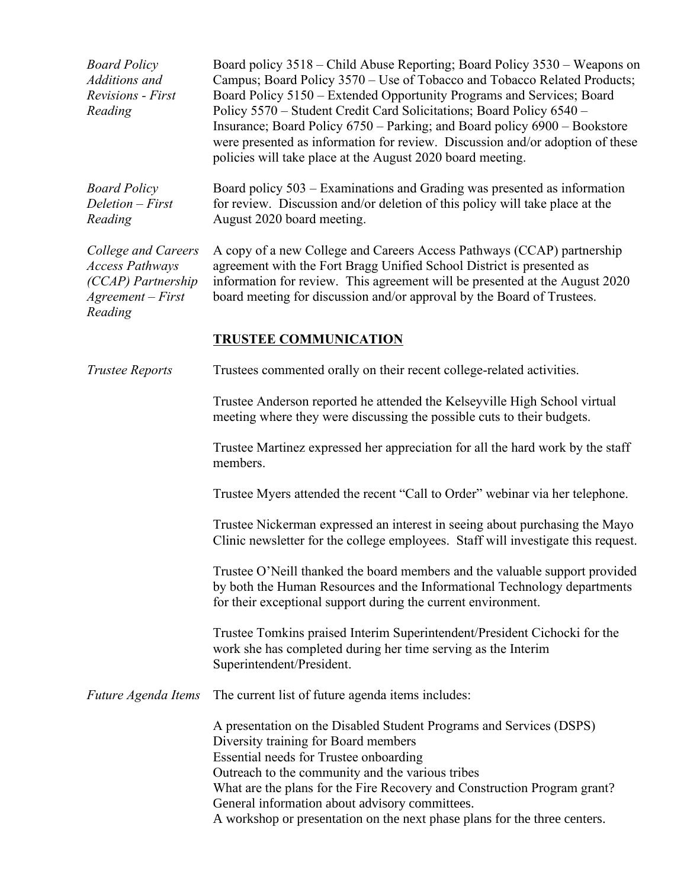| <b>Board Policy</b><br>Additions and<br><b>Revisions</b> - First<br>Reading                           | Board policy 3518 – Child Abuse Reporting; Board Policy 3530 – Weapons on<br>Campus; Board Policy 3570 – Use of Tobacco and Tobacco Related Products;<br>Board Policy 5150 - Extended Opportunity Programs and Services; Board<br>Policy 5570 - Student Credit Card Solicitations; Board Policy 6540 -<br>Insurance; Board Policy 6750 – Parking; and Board policy 6900 – Bookstore<br>were presented as information for review. Discussion and/or adoption of these<br>policies will take place at the August 2020 board meeting. |
|-------------------------------------------------------------------------------------------------------|------------------------------------------------------------------------------------------------------------------------------------------------------------------------------------------------------------------------------------------------------------------------------------------------------------------------------------------------------------------------------------------------------------------------------------------------------------------------------------------------------------------------------------|
| <b>Board Policy</b><br>Deletion - First<br>Reading                                                    | Board policy 503 – Examinations and Grading was presented as information<br>for review. Discussion and/or deletion of this policy will take place at the<br>August 2020 board meeting.                                                                                                                                                                                                                                                                                                                                             |
| College and Careers<br><b>Access Pathways</b><br>(CCAP) Partnership<br>$Agreement - First$<br>Reading | A copy of a new College and Careers Access Pathways (CCAP) partnership<br>agreement with the Fort Bragg Unified School District is presented as<br>information for review. This agreement will be presented at the August 2020<br>board meeting for discussion and/or approval by the Board of Trustees.                                                                                                                                                                                                                           |
|                                                                                                       | <b>TRUSTEE COMMUNICATION</b>                                                                                                                                                                                                                                                                                                                                                                                                                                                                                                       |
| <b>Trustee Reports</b>                                                                                | Trustees commented orally on their recent college-related activities.                                                                                                                                                                                                                                                                                                                                                                                                                                                              |
|                                                                                                       | Trustee Anderson reported he attended the Kelseyville High School virtual<br>meeting where they were discussing the possible cuts to their budgets.                                                                                                                                                                                                                                                                                                                                                                                |
|                                                                                                       | Trustee Martinez expressed her appreciation for all the hard work by the staff<br>members.                                                                                                                                                                                                                                                                                                                                                                                                                                         |
|                                                                                                       | Trustee Myers attended the recent "Call to Order" webinar via her telephone.                                                                                                                                                                                                                                                                                                                                                                                                                                                       |
|                                                                                                       | Trustee Nickerman expressed an interest in seeing about purchasing the Mayo<br>Clinic newsletter for the college employees. Staff will investigate this request.                                                                                                                                                                                                                                                                                                                                                                   |
|                                                                                                       | Trustee O'Neill thanked the board members and the valuable support provided<br>by both the Human Resources and the Informational Technology departments<br>for their exceptional support during the current environment.                                                                                                                                                                                                                                                                                                           |
|                                                                                                       | Trustee Tomkins praised Interim Superintendent/President Cichocki for the<br>work she has completed during her time serving as the Interim<br>Superintendent/President.                                                                                                                                                                                                                                                                                                                                                            |
| Future Agenda Items                                                                                   | The current list of future agenda items includes:                                                                                                                                                                                                                                                                                                                                                                                                                                                                                  |
|                                                                                                       | A presentation on the Disabled Student Programs and Services (DSPS)<br>Diversity training for Board members<br>Essential needs for Trustee onboarding<br>Outreach to the community and the various tribes<br>What are the plans for the Fire Recovery and Construction Program grant?<br>General information about advisory committees.<br>A workshop or presentation on the next phase plans for the three centers.                                                                                                               |